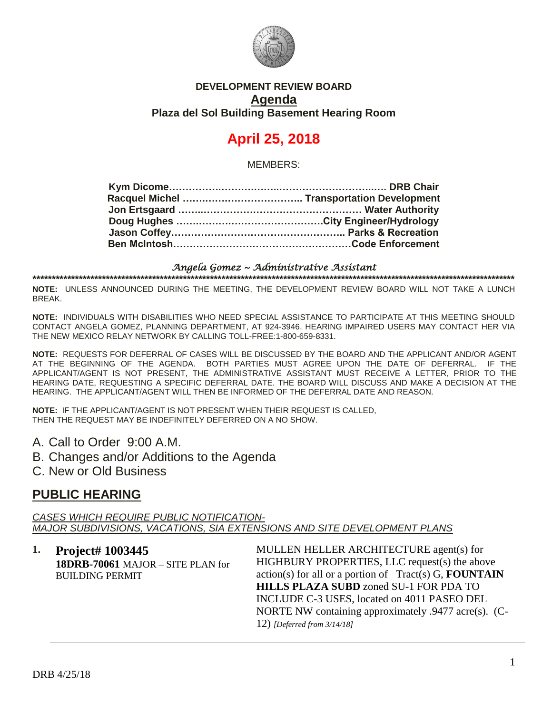

### **DEVELOPMENT REVIEW BOARD Agenda Plaza del Sol Building Basement Hearing Room**

# **April 25, 2018**

MEMBERS:

#### *Angela Gomez ~ Administrative Assistant*  **\*\*\*\*\*\*\*\*\*\*\*\*\*\*\*\*\*\*\*\*\*\*\*\*\*\*\*\*\*\*\*\*\*\*\*\*\*\*\*\*\*\*\*\*\*\*\*\*\*\*\*\*\*\*\*\*\*\*\*\*\*\*\*\*\*\*\*\*\*\*\*\*\*\*\*\*\*\*\*\*\*\*\*\*\*\*\*\*\*\*\*\*\*\*\*\*\*\*\*\*\*\*\*\*\*\*\*\*\*\*\*\*\*\*\*\*\*\*\*\*\*\*\*\*\***

**NOTE:** UNLESS ANNOUNCED DURING THE MEETING, THE DEVELOPMENT REVIEW BOARD WILL NOT TAKE A LUNCH BREAK.

**NOTE:** INDIVIDUALS WITH DISABILITIES WHO NEED SPECIAL ASSISTANCE TO PARTICIPATE AT THIS MEETING SHOULD CONTACT ANGELA GOMEZ, PLANNING DEPARTMENT, AT 924-3946. HEARING IMPAIRED USERS MAY CONTACT HER VIA THE NEW MEXICO RELAY NETWORK BY CALLING TOLL-FREE:1-800-659-8331.

**NOTE:** REQUESTS FOR DEFERRAL OF CASES WILL BE DISCUSSED BY THE BOARD AND THE APPLICANT AND/OR AGENT AT THE BEGINNING OF THE AGENDA. BOTH PARTIES MUST AGREE UPON THE DATE OF DEFERRAL. IF THE APPLICANT/AGENT IS NOT PRESENT, THE ADMINISTRATIVE ASSISTANT MUST RECEIVE A LETTER, PRIOR TO THE HEARING DATE, REQUESTING A SPECIFIC DEFERRAL DATE. THE BOARD WILL DISCUSS AND MAKE A DECISION AT THE HEARING. THE APPLICANT/AGENT WILL THEN BE INFORMED OF THE DEFERRAL DATE AND REASON.

**NOTE:** IF THE APPLICANT/AGENT IS NOT PRESENT WHEN THEIR REQUEST IS CALLED, THEN THE REQUEST MAY BE INDEFINITELY DEFERRED ON A NO SHOW.

A. Call to Order 9:00 A.M.

B. Changes and/or Additions to the Agenda

C. New or Old Business

## **PUBLIC HEARING**

*CASES WHICH REQUIRE PUBLIC NOTIFICATION-MAJOR SUBDIVISIONS, VACATIONS, SIA EXTENSIONS AND SITE DEVELOPMENT PLANS*

**1. Project# 1003445 18DRB-70061** MAJOR – SITE PLAN for BUILDING PERMIT

MULLEN HELLER ARCHITECTURE agent(s) for HIGHBURY PROPERTIES, LLC request(s) the above action(s) for all or a portion of Tract(s) G, **FOUNTAIN HILLS PLAZA SUBD** zoned SU-1 FOR PDA TO INCLUDE C-3 USES, located on 4011 PASEO DEL NORTE NW containing approximately .9477 acre(s). (C-12) *[Deferred from 3/14/18]*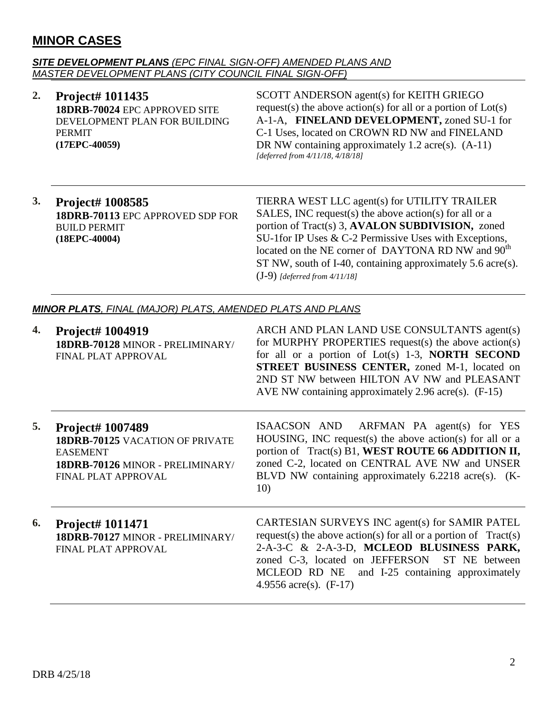# **MINOR CASES**

#### *SITE DEVELOPMENT PLANS (EPC FINAL SIGN-OFF) AMENDED PLANS AND MASTER DEVELOPMENT PLANS (CITY COUNCIL FINAL SIGN-OFF)*

#### **2. Project# 1011435 18DRB-70024** EPC APPROVED SITE DEVELOPMENT PLAN FOR BUILDING PERMIT **(17EPC-40059)**

SCOTT ANDERSON agent(s) for KEITH GRIEGO request(s) the above action(s) for all or a portion of  $Lot(s)$ A-1-A, **FINELAND DEVELOPMENT,** zoned SU-1 for C-1 Uses, located on CROWN RD NW and FINELAND DR NW containing approximately 1.2 acre(s).  $(A-11)$ *[deferred from 4/11/18, 4/18/18]*

#### **3. Project# 1008585 18DRB-70113** EPC APPROVED SDP FOR BUILD PERMIT **(18EPC-40004)**

TIERRA WEST LLC agent(s) for UTILITY TRAILER SALES, INC request(s) the above action(s) for all or a portion of Tract(s) 3, **AVALON SUBDIVISION,** zoned SU-1for IP Uses & C-2 Permissive Uses with Exceptions, located on the NE corner of DAYTONA RD NW and  $90^{th}$ ST NW, south of I-40, containing approximately 5.6 acre(s). (J-9) *[deferred from 4/11/18]*

#### *MINOR PLATS, FINAL (MAJOR) PLATS, AMENDED PLATS AND PLANS*

| 4. | Project# 1004919<br>18DRB-70128 MINOR - PRELIMINARY/<br>FINAL PLAT APPROVAL                                                              | ARCH AND PLAN LAND USE CONSULTANTS agent(s)<br>for MURPHY PROPERTIES request(s) the above action(s)<br>for all or a portion of Lot(s) $1-3$ , <b>NORTH SECOND</b><br><b>STREET BUSINESS CENTER, zoned M-1, located on</b><br>2ND ST NW between HILTON AV NW and PLEASANT<br>AVE NW containing approximately 2.96 acre(s). $(F-15)$ |
|----|------------------------------------------------------------------------------------------------------------------------------------------|------------------------------------------------------------------------------------------------------------------------------------------------------------------------------------------------------------------------------------------------------------------------------------------------------------------------------------|
| 5. | <b>Project# 1007489</b><br>18DRB-70125 VACATION OF PRIVATE<br><b>EASEMENT</b><br>18DRB-70126 MINOR - PRELIMINARY/<br>FINAL PLAT APPROVAL | ISAACSON AND ARFMAN PA agent(s) for YES<br>HOUSING, INC request(s) the above action(s) for all or a<br>portion of Tract(s) B1, WEST ROUTE 66 ADDITION II,<br>zoned C-2, located on CENTRAL AVE NW and UNSER<br>BLVD NW containing approximately 6.2218 acre(s). (K-<br>10)                                                         |
| 6. | Project# 1011471<br>18DRB-70127 MINOR - PRELIMINARY/<br>FINAL PLAT APPROVAL                                                              | CARTESIAN SURVEYS INC agent(s) for SAMIR PATEL<br>request(s) the above action(s) for all or a portion of $Tract(s)$<br>2-A-3-C & 2-A-3-D, MCLEOD BLUSINESS PARK,<br>zoned C-3, located on JEFFERSON ST NE between<br>MCLEOD RD NE and I-25 containing approximately<br>4.9556 $\text{acre}(s)$ . (F-17)                            |